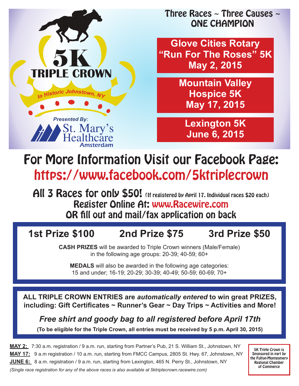

Three Races  $\sim$  Three Causes  $\sim$ ONE CHAMPION

**Glove Cities Rotary "Run For The Roses" 5K May 2, 2015**

> **Mountain Valley Hospice 5K May 17, 2015**

**Lexington 5K June 6, 2015**

# For More Information Visit our Facebook Page: https://www.facebook.com/5ktriplecrown

All 3 Races for only \$50! (If registered by April 17. Individual races \$20 each) Register Online At: www.Racewire.com OR fill out and mail/fax application on back

## **1st Prize \$100 2nd Prize \$75 3rd Prize \$50**

**CASH PRIZES** will be awarded to Triple Crown winners (Male/Female) in the following age groups: 20-39; 40-59; 60+

**MEDALS** will also be awarded in the following age categories: 15 and under; 16-19; 20-29; 30-39; 40-49; 50-59; 60-69; 70+

**ALL TRIPLE CROWN ENTRIES are** *automatically entered* **to win great PRIZES, including: Gift Certificates ~ Runner's Gear ~ Day Trips ~ Activities and More!**

*Free shirt and goody bag to all registered before April 17th*

**(To be eligible for the Triple Crown, all entries must be received by 5 p.m. April 30, 2015)**

**MAY 2:** 7:30 a.m. registration / 9 a.m. run, starting from Partner's Pub, 21 S. William St., Johnstown, NY **MAY 17:** 9 a.m registration / 10 a.m. run, starting from FMCC Campus, 2805 St. Hwy. 67, Johnstown, NY **JUNE 6:** 8 a.m. registration / 9 a.m. run, starting from Lexington, 465 N. Perry St., Johnstown, NY *(Single race registration for any of the above races is also available at 5ktriplecrown.racewire.com)*

5K Triple Crown is Sponsored in part by the Fulton-Montgomery Regional Chamber of Commerce